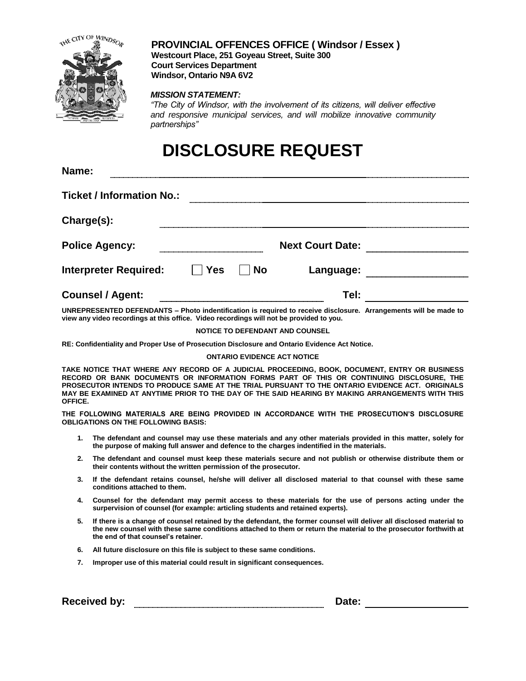

**Name:**

### **PROVINCIAL OFFENCES OFFICE ( Windsor / Essex )**

**Westcourt Place, 251 Goyeau Street, Suite 300 Court Services Department Windsor, Ontario N9A 6V2**

#### *MISSION STATEMENT:*

*"The City of Windsor, with the involvement of its citizens, will deliver effective and responsive municipal services, and will mobilize innovative community partnerships"* 

## **DISCLOSURE REQUEST**

| Name.                            |            |           |                         |  |
|----------------------------------|------------|-----------|-------------------------|--|
| <b>Ticket / Information No.:</b> |            |           |                         |  |
| Charge(s):                       |            |           |                         |  |
| <b>Police Agency:</b>            |            |           | <b>Next Court Date:</b> |  |
| <b>Interpreter Required:</b>     | <b>Yes</b> | <b>No</b> | Language:               |  |
| <b>Counsel / Agent:</b>          |            |           | Tel:                    |  |

**UNREPRESENTED DEFENDANTS – Photo indentification is required to receive disclosure. Arrangements will be made to view any video recordings at this office. Video recordings will not be provided to you.**

#### **NOTICE TO DEFENDANT AND COUNSEL**

**RE: Confidentiality and Proper Use of Prosecution Disclosure and Ontario Evidence Act Notice.**

#### **ONTARIO EVIDENCE ACT NOTICE**

**TAKE NOTICE THAT WHERE ANY RECORD OF A JUDICIAL PROCEEDING, BOOK, DOCUMENT, ENTRY OR BUSINESS RECORD OR BANK DOCUMENTS OR INFORMATION FORMS PART OF THIS OR CONTINUING DISCLOSURE, THE PROSECUTOR INTENDS TO PRODUCE SAME AT THE TRIAL PURSUANT TO THE ONTARIO EVIDENCE ACT. ORIGINALS MAY BE EXAMINED AT ANYTIME PRIOR TO THE DAY OF THE SAID HEARING BY MAKING ARRANGEMENTS WITH THIS OFFICE.**

**THE FOLLOWING MATERIALS ARE BEING PROVIDED IN ACCORDANCE WITH THE PROSECUTION'S DISCLOSURE OBLIGATIONS ON THE FOLLOWING BASIS:**

- **1. The defendant and counsel may use these materials and any other materials provided in this matter, solely for the purpose of making full answer and defence to the charges indentified in the materials.**
- **2. The defendant and counsel must keep these materials secure and not publish or otherwise distribute them or their contents without the written permission of the prosecutor.**
- **3. If the defendant retains counsel, he/she will deliver all disclosed material to that counsel with these same conditions attached to them.**
- **4. Counsel for the defendant may permit access to these materials for the use of persons acting under the surpervision of counsel (for example: articling students and retained experts).**
- **5. If there is a change of counsel retained by the defendant, the former counsel will deliver all disclosed material to the new counsel with these same conditions attached to them or return the material to the prosecutor forthwith at the end of that counsel's retainer.**
- **6. All future disclosure on this file is subject to these same conditions.**
- **7. Improper use of this material could result in significant consequences.**